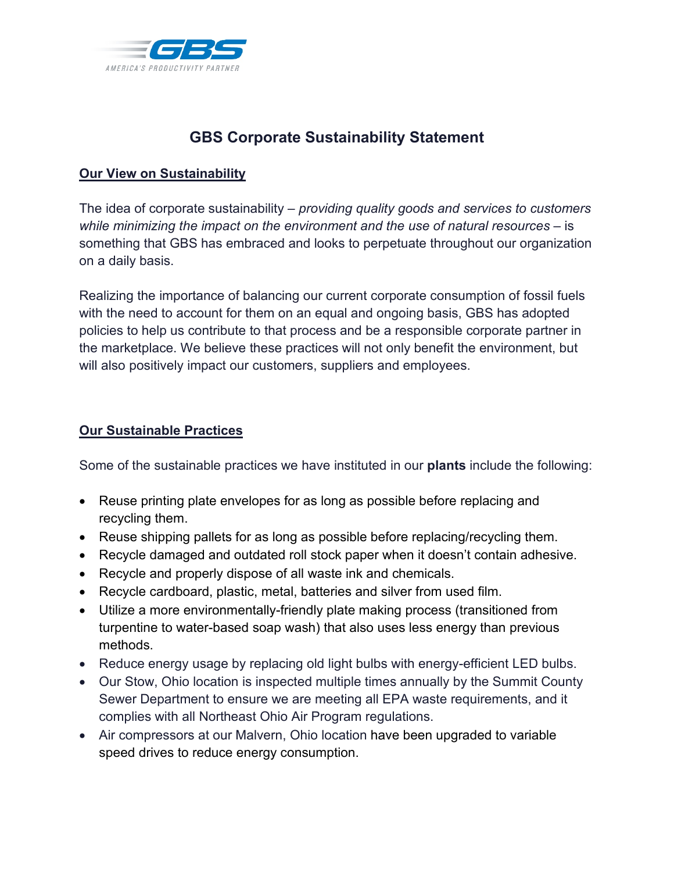

## **GBS Corporate Sustainability Statement**

## **Our View on Sustainability**

The idea of corporate sustainability – *providing quality goods and services to customers while minimizing the impact on the environment and the use of natural resources* – is something that GBS has embraced and looks to perpetuate throughout our organization on a daily basis.

Realizing the importance of balancing our current corporate consumption of fossil fuels with the need to account for them on an equal and ongoing basis, GBS has adopted policies to help us contribute to that process and be a responsible corporate partner in the marketplace. We believe these practices will not only benefit the environment, but will also positively impact our customers, suppliers and employees.

## **Our Sustainable Practices**

Some of the sustainable practices we have instituted in our **plants** include the following:

- Reuse printing plate envelopes for as long as possible before replacing and recycling them.
- Reuse shipping pallets for as long as possible before replacing/recycling them.
- Recycle damaged and outdated roll stock paper when it doesn't contain adhesive.
- Recycle and properly dispose of all waste ink and chemicals.
- Recycle cardboard, plastic, metal, batteries and silver from used film.
- Utilize a more environmentally-friendly plate making process (transitioned from turpentine to water-based soap wash) that also uses less energy than previous methods.
- Reduce energy usage by replacing old light bulbs with energy-efficient LED bulbs.
- Our Stow, Ohio location is inspected multiple times annually by the Summit County Sewer Department to ensure we are meeting all EPA waste requirements, and it complies with all Northeast Ohio Air Program regulations.
- Air compressors at our Malvern, Ohio location have been upgraded to variable speed drives to reduce energy consumption.